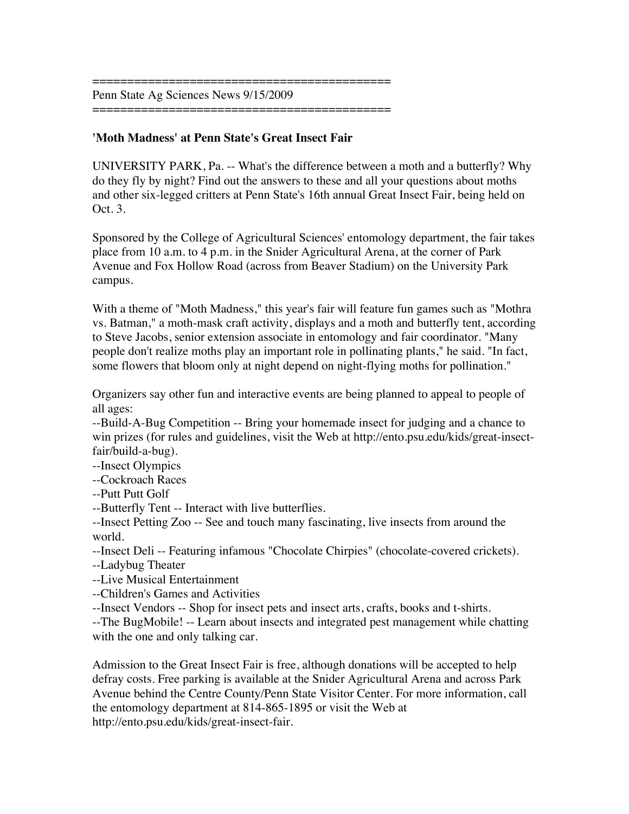=========================================== Penn State Ag Sciences News 9/15/2009 ===========================================

## **'Moth Madness' at Penn State's Great Insect Fair**

UNIVERSITY PARK, Pa. -- What's the difference between a moth and a butterfly? Why do they fly by night? Find out the answers to these and all your questions about moths and other six-legged critters at Penn State's 16th annual Great Insect Fair, being held on Oct. 3.

Sponsored by the College of Agricultural Sciences' entomology department, the fair takes place from 10 a.m. to 4 p.m. in the Snider Agricultural Arena, at the corner of Park Avenue and Fox Hollow Road (across from Beaver Stadium) on the University Park campus.

With a theme of "Moth Madness," this year's fair will feature fun games such as "Mothra vs. Batman," a moth-mask craft activity, displays and a moth and butterfly tent, according to Steve Jacobs, senior extension associate in entomology and fair coordinator. "Many people don't realize moths play an important role in pollinating plants," he said. "In fact, some flowers that bloom only at night depend on night-flying moths for pollination."

Organizers say other fun and interactive events are being planned to appeal to people of all ages:

--Build-A-Bug Competition -- Bring your homemade insect for judging and a chance to win prizes (for rules and guidelines, visit the Web at http://ento.psu.edu/kids/great-insectfair/build-a-bug).

--Insect Olympics

--Cockroach Races

--Putt Putt Golf

--Butterfly Tent -- Interact with live butterflies.

--Insect Petting Zoo -- See and touch many fascinating, live insects from around the world.

--Insect Deli -- Featuring infamous "Chocolate Chirpies" (chocolate-covered crickets).

--Ladybug Theater

--Live Musical Entertainment

--Children's Games and Activities

--Insect Vendors -- Shop for insect pets and insect arts, crafts, books and t-shirts.

--The BugMobile! -- Learn about insects and integrated pest management while chatting with the one and only talking car.

Admission to the Great Insect Fair is free, although donations will be accepted to help defray costs. Free parking is available at the Snider Agricultural Arena and across Park Avenue behind the Centre County/Penn State Visitor Center. For more information, call the entomology department at 814-865-1895 or visit the Web at http://ento.psu.edu/kids/great-insect-fair.